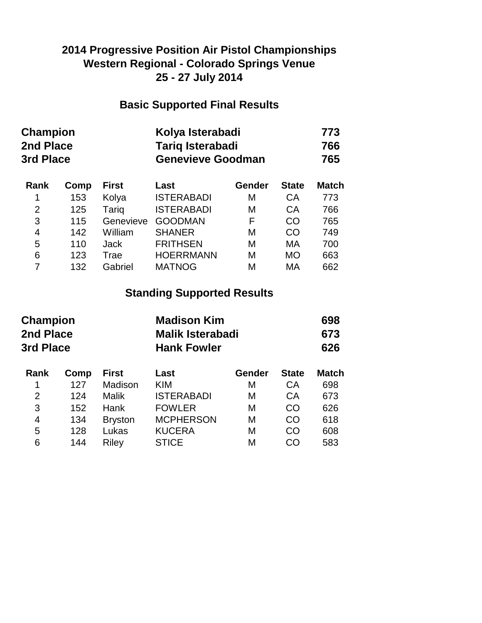### **2014 Progressive Position Air Pistol Championships Western Regional - Colorado Springs Venue 25 - 27 July 2014**

#### **Basic Supported Final Results**

| <b>Champion</b> | Kolya Isterabadi         | 773 |
|-----------------|--------------------------|-----|
| 2nd Place       | <b>Tarig Isterabadi</b>  | 766 |
| 3rd Place       | <b>Genevieve Goodman</b> | 765 |

| Rank           | Comp | <b>First</b> | Last              | Gender | <b>State</b> | <b>Match</b> |
|----------------|------|--------------|-------------------|--------|--------------|--------------|
| 1              | 153  | Kolya        | <b>ISTERABADI</b> | M      | CA           | 773          |
| 2              | 125  | Tariq        | <b>ISTERABADI</b> | M      | CA           | 766          |
| 3              | 115  | Genevieve    | <b>GOODMAN</b>    | F      | CO           | 765          |
| $\overline{4}$ | 142  | William      | <b>SHANER</b>     | M      | CO           | 749          |
| 5              | 110  | <b>Jack</b>  | <b>FRITHSEN</b>   | M      | MA           | 700          |
| 6              | 123  | Trae         | <b>HOERRMANN</b>  | М      | <b>MO</b>    | 663          |
|                | 132  | Gabriel      | <b>MATNOG</b>     | М      | MA           | 662          |

## **Standing Supported Results**

| Champion<br>2nd Place<br>3rd Place |                | <b>Madison Kim</b><br><b>Malik Isterabadi</b><br><b>Hank Fowler</b> |        |              | 698<br>673<br>626 |  |
|------------------------------------|----------------|---------------------------------------------------------------------|--------|--------------|-------------------|--|
| Comp                               | <b>First</b>   | Last                                                                | Gender | <b>State</b> | <b>Match</b>      |  |
| 127                                | Madison        | <b>KIM</b>                                                          | Μ      | <b>CA</b>    | 698               |  |
| 124                                | <b>Malik</b>   | <b>ISTERABADI</b>                                                   | M      | CA           | 673               |  |
| 152                                | <b>Hank</b>    | <b>FOWLER</b>                                                       | Μ      | <b>CO</b>    | 626               |  |
| 134                                | <b>Bryston</b> | <b>MCPHERSON</b>                                                    | M      | CO           | 618               |  |
| 128                                | Lukas          | <b>KUCERA</b>                                                       | Μ      | <b>CO</b>    | 608               |  |
| 144                                | Riley          | <b>STICE</b>                                                        | М      | CO           | 583               |  |
|                                    |                |                                                                     |        |              |                   |  |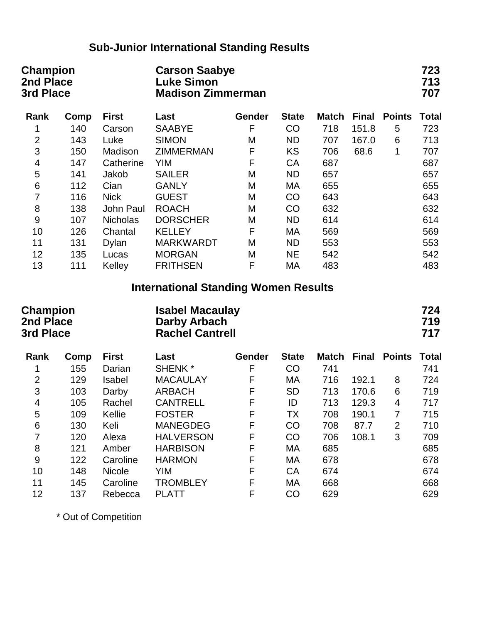# **Sub-Junior International Standing Results**

| <b>Champion</b><br>2nd Place<br>3rd Place |      |                                                                         | <b>Carson Saabye</b><br><b>Luke Simon</b><br><b>Madison Zimmerman</b> |        |              |              |              |                   |              |
|-------------------------------------------|------|-------------------------------------------------------------------------|-----------------------------------------------------------------------|--------|--------------|--------------|--------------|-------------------|--------------|
| Rank                                      | Comp | <b>First</b>                                                            | Last                                                                  | Gender | <b>State</b> | <b>Match</b> | <b>Final</b> | <b>Points</b>     | <b>Total</b> |
| 1                                         | 140  | Carson                                                                  | <b>SAABYE</b>                                                         | F      | CO           | 718          | 151.8        | 5                 | 723          |
| $\overline{2}$                            | 143  | Luke                                                                    | <b>SIMON</b>                                                          | M      | <b>ND</b>    | 707          | 167.0        | 6                 | 713          |
| 3                                         | 150  | Madison                                                                 | <b>ZIMMERMAN</b>                                                      | F      | <b>KS</b>    | 706          | 68.6         | 1                 | 707          |
| $\overline{\mathbf{4}}$                   | 147  | Catherine                                                               | <b>YIM</b>                                                            | F      | CA           | 687          |              |                   | 687          |
| 5                                         | 141  | Jakob                                                                   | <b>SAILER</b>                                                         | M      | <b>ND</b>    | 657          |              |                   | 657          |
| 6                                         | 112  | Cian                                                                    | <b>GANLY</b>                                                          | M      | МA           | 655          |              |                   | 655          |
| $\overline{7}$                            | 116  | <b>Nick</b>                                                             | <b>GUEST</b>                                                          | M      | CO           | 643          |              |                   | 643          |
| 8                                         | 138  | John Paul                                                               | <b>ROACH</b>                                                          | M      | CO           | 632          |              |                   | 632          |
| $\mathsf 9$                               | 107  | <b>Nicholas</b>                                                         | <b>DORSCHER</b>                                                       | М      | <b>ND</b>    | 614          |              |                   | 614          |
| 10                                        | 126  | Chantal                                                                 | <b>KELLEY</b>                                                         | F      | MA           | 569          |              |                   | 569          |
| 11                                        | 131  | <b>Dylan</b>                                                            | <b>MARKWARDT</b>                                                      | M      | <b>ND</b>    | 553          |              |                   | 553          |
| 12                                        | 135  | Lucas                                                                   | <b>MORGAN</b>                                                         | M      | <b>NE</b>    | 542          |              |                   | 542          |
| 13                                        | 111  | Kelley                                                                  | <b>FRITHSEN</b>                                                       | F      | МA           | 483          |              |                   | 483          |
|                                           |      |                                                                         | <b>International Standing Women Results</b>                           |        |              |              |              |                   |              |
| <b>Champion</b><br>2nd Place<br>3rd Place |      | <b>Isabel Macaulay</b><br><b>Darby Arbach</b><br><b>Rachel Cantrell</b> |                                                                       |        |              |              |              | 724<br>719<br>717 |              |
| Rank                                      | Comp | <b>First</b>                                                            | Last                                                                  | Gender | <b>State</b> | <b>Match</b> | <b>Final</b> | <b>Points</b>     | <b>Total</b> |
| 1                                         | 155  | Darian                                                                  | SHENK <sup>*</sup>                                                    | F      | CO           | 741          |              |                   | 741          |
| $\overline{2}$                            | 129  | <b>Isabel</b>                                                           | <b>MACAULAY</b>                                                       | F      | МA           | 716          | 192.1        | 8                 | 724          |
| 3                                         | 103  | Darby                                                                   | <b>ARBACH</b>                                                         | F      | <b>SD</b>    | 713          | 170.6        | 6                 | 719          |
| $\overline{\mathbf{4}}$                   | 105  | Rachel                                                                  | <b>CANTRELL</b>                                                       | F      | ID           | 713          | 129.3        | $\overline{4}$    | 717          |
| 5                                         | 109  | Kellie                                                                  | <b>FOSTER</b>                                                         | F      | <b>TX</b>    | 708          | 190.1        | 7                 | 715          |
| 6                                         | 130  | Keli                                                                    | <b>MANEGDEG</b>                                                       | F      | CO           | 708          | 87.7         | $\overline{2}$    | 710          |
| 7                                         | 120  | Alexa                                                                   | <b>HALVERSON</b>                                                      | F      | CO           | 706          | 108.1        | 3                 | 709          |
| 8                                         | 121  | Amber                                                                   | <b>HARBISON</b>                                                       | F      | МA           | 685          |              |                   | 685          |
| $\boldsymbol{9}$                          | 122  | Caroline                                                                | <b>HARMON</b>                                                         | F      | МA           | 678          |              |                   | 678          |
| 10                                        | 148  | <b>Nicole</b>                                                           | <b>YIM</b>                                                            | F      | CA           | 674          |              |                   | 674          |
| 11                                        | 145  | Caroline                                                                | <b>TROMBLEY</b>                                                       | F      | МA           | 668          |              |                   | 668          |
| 12                                        | 137  | Rebecca                                                                 | <b>PLATT</b>                                                          | F      | CO           | 629          |              |                   | 629          |

\* Out of Competition